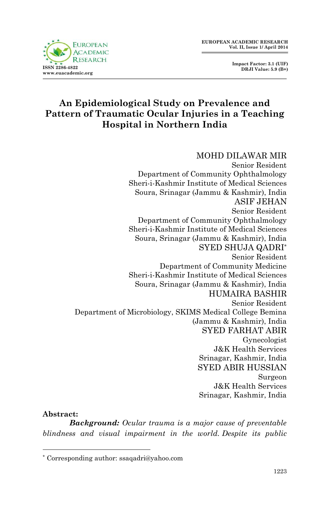

# **An Epidemiological Study on Prevalence and Pattern of Traumatic Ocular Injuries in a Teaching Hospital in Northern India**

## MOHD DILAWAR MIR

Senior Resident Department of Community Ophthalmology Sheri-i-Kashmir Institute of Medical Sciences Soura, Srinagar (Jammu & Kashmir), India ASIF JEHAN Senior Resident Department of Community Ophthalmology Sheri-i-Kashmir Institute of Medical Sciences Soura, Srinagar (Jammu & Kashmir), India SYED SHUJA QADRI\* Senior Resident Department of Community Medicine Sheri-i-Kashmir Institute of Medical Sciences Soura, Srinagar (Jammu & Kashmir), India HUMAIRA BASHIR Senior Resident Department of Microbiology, SKIMS Medical College Bemina (Jammu & Kashmir), India SYED FARHAT ABIR Gynecologist J&K Health Services Srinagar, Kashmir, India SYED ABIR HUSSIAN Surgeon J&K Health Services Srinagar, Kashmir, India

#### **Abstract:**

1

*Background: Ocular trauma is a major cause of preventable blindness and visual impairment in the world. Despite its public* 

<sup>\*</sup> Corresponding author: ssaqadri@yahoo.com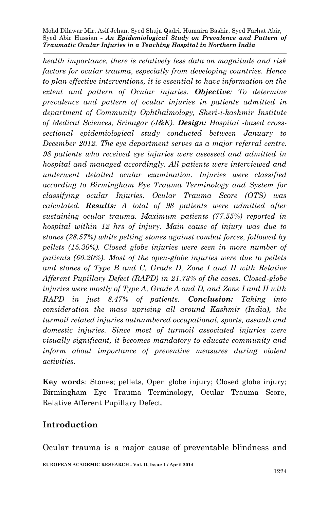*health importance, there is relatively less data on magnitude and risk factors for ocular trauma, especially from developing countries. Hence to plan effective interventions, it is essential to have information on the extent and pattern of Ocular injuries. Objective: To determine prevalence and pattern of ocular injuries in patients admitted in department of Community Ophthalmology, Sheri-i-kashmir Institute of Medical Sciences, Srinagar (J&K). Design: Hospital -based crosssectional epidemiological study conducted between January to December 2012. The eye department serves as a major referral centre. 98 patients who received eye injuries were assessed and admitted in hospital and managed accordingly. All patients were interviewed and underwent detailed ocular examination. Injuries were classified according to Birmingham Eye Trauma Terminology and System for classifying ocular Injuries. Ocular Trauma Score (OTS) was calculated. Results: A total of 98 patients were admitted after sustaining ocular trauma. Maximum patients (77.55%) reported in hospital within 12 hrs of injury. Main cause of injury was due to stones (28.57%) while pelting stones against combat forces, followed by pellets (15.30%). Closed globe injuries were seen in more number of patients (60.20%). Most of the open-globe injuries were due to pellets and stones of Type B and C, Grade D, Zone I and II with Relative Afferent Pupillary Defect (RAPD) in 21.73% of the cases. Closed-globe injuries were mostly of Type A, Grade A and D, and Zone I and II with RAPD in just 8.47% of patients. Conclusion: Taking into consideration the mass uprising all around Kashmir (India), the turmoil related injuries outnumbered occupational, sports, assault and domestic injuries. Since most of turmoil associated injuries were visually significant, it becomes mandatory to educate community and inform about importance of preventive measures during violent activities.* 

**Key words**: Stones; pellets, Open globe injury; Closed globe injury; Birmingham Eye Trauma Terminology, Ocular Trauma Score, Relative Afferent Pupillary Defect.

## **Introduction**

Ocular trauma is a major cause of preventable blindness and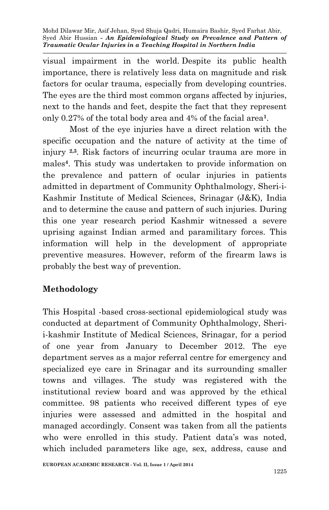visual impairment in the world. Despite its public health importance, there is relatively less data on magnitude and risk factors for ocular trauma, especially from developing countries. The eyes are the third most common organs affected by injuries, next to the hands and feet, despite the fact that they represent only 0.27% of the total body area and 4% of the facial area**<sup>1</sup>** .

Most of the eye injuries have a direct relation with the specific occupation and the nature of activity at the time of injury **2,3**. Risk factors of incurring ocular trauma are more in males**<sup>4</sup>** . This study was undertaken to provide information on the prevalence and pattern of ocular injuries in patients admitted in department of Community Ophthalmology, Sheri-i-Kashmir Institute of Medical Sciences, Srinagar (J&K), India and to determine the cause and pattern of such injuries. During this one year research period Kashmir witnessed a severe uprising against Indian armed and paramilitary forces. This information will help in the development of appropriate preventive measures. However, reform of the firearm laws is probably the best way of prevention.

## **Methodology**

This Hospital -based cross-sectional epidemiological study was conducted at department of Community Ophthalmology, Sherii-kashmir Institute of Medical Sciences, Srinagar, for a period of one year from January to December 2012. The eye department serves as a major referral centre for emergency and specialized eye care in Srinagar and its surrounding smaller towns and villages. The study was registered with the institutional review board and was approved by the ethical committee. 98 patients who received different types of eye injuries were assessed and admitted in the hospital and managed accordingly. Consent was taken from all the patients who were enrolled in this study. Patient data's was noted, which included parameters like age, sex, address, cause and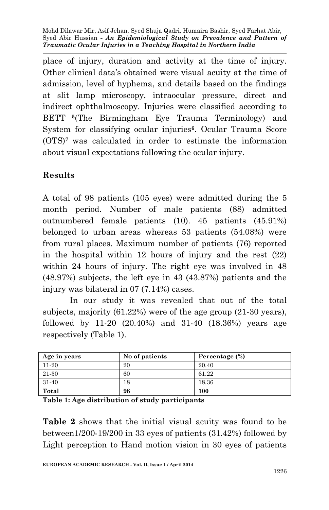place of injury, duration and activity at the time of injury. Other clinical data's obtained were visual acuity at the time of admission, level of hyphema, and details based on the findings at slit lamp microscopy, intraocular pressure, direct and indirect ophthalmoscopy. Injuries were classified according to BETT **<sup>5</sup>** (The Birmingham Eye Trauma Terminology) and System for classifying ocular injuries**<sup>6</sup>** . Ocular Trauma Score (OTS)**<sup>7</sup>** was calculated in order to estimate the information about visual expectations following the ocular injury.

# **Results**

A total of 98 patients (105 eyes) were admitted during the 5 month period. Number of male patients (88) admitted outnumbered female patients (10). 45 patients (45.91%) belonged to urban areas whereas 53 patients (54.08%) were from rural places. Maximum number of patients (76) reported in the hospital within 12 hours of injury and the rest (22) within 24 hours of injury. The right eye was involved in 48 (48.97%) subjects, the left eye in 43 (43.87%) patients and the injury was bilateral in 07 (7.14%) cases.

In our study it was revealed that out of the total subjects, majority (61.22%) were of the age group (21-30 years), followed by 11-20 (20.40%) and 31-40 (18.36%) years age respectively (Table 1).

| Age in years | No of patients | Percentage (%) |
|--------------|----------------|----------------|
| 11-20        | 20             | 20.40          |
| 21-30        | 60             | 61.22          |
| 31-40        | 18             | 18.36          |
| Total        | 98             | 100            |

**Table 1: Age distribution of study participants**

**Table 2** shows that the initial visual acuity was found to be between1/200-19/200 in 33 eyes of patients (31.42%) followed by Light perception to Hand motion vision in 30 eyes of patients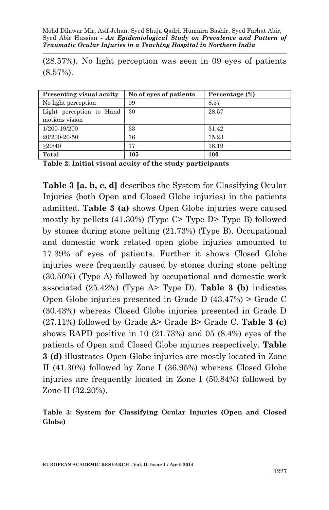(28.57%). No light perception was seen in 09 eyes of patients (8.57%).

| Presenting visual acuity | No of eyes of patients | Percentage (%) |  |
|--------------------------|------------------------|----------------|--|
| No light perception      | 09                     | 8.57           |  |
| Light perception to Hand | 30                     | 28.57          |  |
| motions vision           |                        |                |  |
| 1/200-19/200             | 33                     | 31.42          |  |
| 20/200-20-50             | 16                     | 15.23          |  |
| >20/40                   | 17                     | 16.19          |  |
| Total                    | 105                    | 100            |  |

**Table 2: Initial visual acuity of the study participants**

**Table 3 [a, b, c, d]** describes the System for Classifying Ocular Injuries (both Open and Closed Globe injuries) in the patients admitted. **Table 3 (a)** shows Open Globe injuries were caused mostly by pellets (41.30%) (Type C> Type D> Type B) followed by stones during stone pelting (21.73%) (Type B). Occupational and domestic work related open globe injuries amounted to 17.39% of eyes of patients. Further it shows Closed Globe injuries were frequently caused by stones during stone pelting (30.50%) (Type A) followed by occupational and domestic work associated (25.42%) (Type A> Type D). **Table 3 (b)** indicates Open Globe injuries presented in Grade D (43.47%) > Grade C (30.43%) whereas Closed Globe injuries presented in Grade D (27.11%) followed by Grade A> Grade B> Grade C. **Table 3 (c)** shows RAPD positive in 10 (21.73%) and 05 (8.4%) eyes of the patients of Open and Closed Globe injuries respectively. **Table 3 (d)** illustrates Open Globe injuries are mostly located in Zone II (41.30%) followed by Zone I (36.95%) whereas Closed Globe injuries are frequently located in Zone I (50.84%) followed by Zone II (32.20%).

**Table 3: System for Classifying Ocular Injuries (Open and Closed Globe)**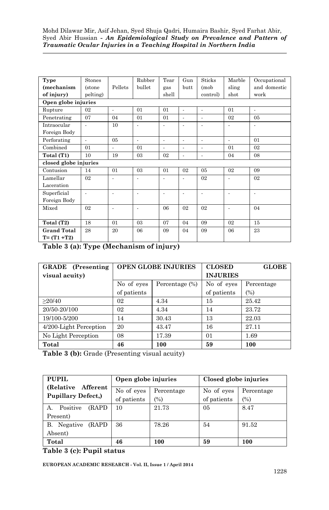| Type                  | Stones         |                | Rubber | Tear  | Gun  | <b>Sticks</b> | Marble         | Occupational   |
|-----------------------|----------------|----------------|--------|-------|------|---------------|----------------|----------------|
| (mechanism            | <i>(stone</i>  | Pellets        | bullet | gas   | butt | (mob          | sling          | and domestic   |
| of injury)            | pelting)       |                |        | shell |      | control)      | shot           | work           |
| Open globe injuries   |                |                |        |       |      |               |                |                |
| Rupture               | 02             | ä,             | 01     | 01    | ä,   | ä,            | 01             | ÷,             |
| Penetrating           | 07             | 04             | 01     | 01    | ٠    | ٠             | 02             | 0 <sub>5</sub> |
| Intraocular           | $\blacksquare$ | 10             | ÷,     | ÷,    | ٠    | ٠             | $\blacksquare$ | ٠              |
| Foreign Body          |                |                |        |       |      |               |                |                |
| Perforating           | $\sim$         | 05             | ٠      | ٠     | ٠    | ٠             | ٠              | 01             |
| Combined              | 01             | $\blacksquare$ | 01     | ٠     | ٠    | ٠             | 01             | 02             |
| Total (T1)            | 10             | 19             | 03     | 02    | ٠    | ٠             | 04             | 08             |
| closed globe injuries |                |                |        |       |      |               |                |                |
| Contusion             | 14             | 01             | 03     | 01    | 02   | 05            | 02             | 09             |
| Lamellar              | 02             |                |        |       |      | 02            |                | 02             |
| Laceration            |                |                |        |       |      |               |                |                |
| Superficial           | $\blacksquare$ | $\blacksquare$ | ٠      | ٠     | ٠    | ٠             | ٠              | ٠              |
| Foreign Body          |                |                |        |       |      |               |                |                |
| Mixed                 | 02             | ÷              | ä,     | 06    | 02   | 02            | ٠              | 04             |
|                       |                |                |        |       |      |               |                |                |
| Total (T2)            | 18             | 01             | 03     | 07    | 04   | 09            | 02             | 15             |
| <b>Grand Total</b>    | 28             | 20             | 06     | 09    | 04   | 09            | 06             | 23             |
| $T = (T1 + T2)$       |                |                |        |       |      |               |                |                |

**Table 3 (a): Type (Mechanism of injury)**

| <b>GRADE</b> (Presenting | <b>OPEN GLOBE INJURIES</b> |                   | <b>CLOSED</b>   | <b>GLOBE</b> |
|--------------------------|----------------------------|-------------------|-----------------|--------------|
| visual acuity)           |                            |                   | <b>INJURIES</b> |              |
|                          | No of eyes                 | Percentage $(\%)$ | No of eyes      | Percentage   |
|                          | of patients                |                   | of patients     | (%)          |
| >20/40                   | 02                         | 4.34              | 15              | 25.42        |
| 20/50-20/100             | 02                         | 4.34              | 14              | 23.72        |
| 19/100-5/200             | 14                         | 30.43             | 13              | 22.03        |
| 4/200-Light Perception   | 20                         | 43.47             | 16              | 27.11        |
| No Light Perception      | 08                         | 17.39             | 01              | 1.69         |
| Total                    | 46                         | 100               | 59              | 100          |

**Table 3 (b):** Grade (Presenting visual acuity)

| PUPIL                          | Open globe injuries |            | Closed globe injuries |            |  |
|--------------------------------|---------------------|------------|-----------------------|------------|--|
| (Relative Afferent)            | No of eyes          | Percentage | No of eyes            | Percentage |  |
| <b>Pupillary Defect.)</b>      | of patients         | $(\%)$     | of patients           | (%)        |  |
| Positive<br><b>(RAPD</b><br>А. | 10                  | 21.73      | 05                    | 8.47       |  |
| Present)                       |                     |            |                       |            |  |
| B. Negative<br><b>(RAPD</b>    | 36                  | 78.26      | 54                    | 91.52      |  |
| Absent)                        |                     |            |                       |            |  |
| Total                          | 46                  | 100        | 59                    | 100        |  |

**Table 3 (c): Pupil status**

**EUROPEAN ACADEMIC RESEARCH - Vol. II, Issue 1 / April 2014**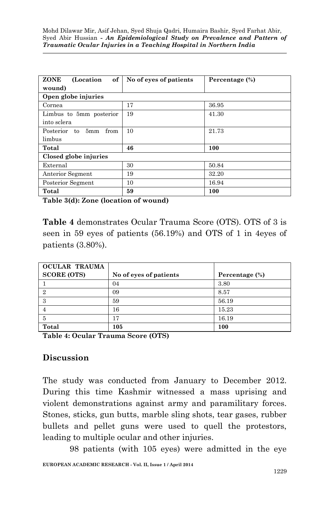| ZONE<br>of<br>(Location)    | No of eyes of patients | Percentage (%) |  |  |  |  |  |
|-----------------------------|------------------------|----------------|--|--|--|--|--|
| wound)                      |                        |                |  |  |  |  |  |
| Open globe injuries         |                        |                |  |  |  |  |  |
| Cornea                      | 17                     | 36.95          |  |  |  |  |  |
| Limbus to 5mm posterior     | 19                     | 41.30          |  |  |  |  |  |
| into sclera                 |                        |                |  |  |  |  |  |
| Posterior<br>to 5mm<br>from | 10                     | 21.73          |  |  |  |  |  |
| limbus                      |                        |                |  |  |  |  |  |
| Total                       | 46                     | 100            |  |  |  |  |  |
| Closed globe injuries       |                        |                |  |  |  |  |  |
| External                    | 30                     | 50.84          |  |  |  |  |  |
| Anterior Segment            | 19                     | 32.20          |  |  |  |  |  |
| Posterior Segment           | 10                     | 16.94          |  |  |  |  |  |
| Total                       | 59                     | 100            |  |  |  |  |  |

**Table 3(d): Zone (location of wound)**

**Table 4** demonstrates Ocular Trauma Score (OTS). OTS of 3 is seen in 59 eyes of patients (56.19%) and OTS of 1 in 4eyes of patients (3.80%).

| OCULAR TRAUMA      |                        |                |
|--------------------|------------------------|----------------|
| <b>SCORE (OTS)</b> | No of eyes of patients | Percentage (%) |
|                    | 04                     | 3.80           |
| 2                  | 09                     | 8.57           |
| 3                  | 59                     | 56.19          |
|                    | 16                     | 15.23          |
| 5                  | 17                     | 16.19          |
| Total              | 105                    | 100            |

**Table 4: Ocular Trauma Score (OTS)**

## **Discussion**

The study was conducted from January to December 2012. During this time Kashmir witnessed a mass uprising and violent demonstrations against army and paramilitary forces. Stones, sticks, gun butts, marble sling shots, tear gases, rubber bullets and pellet guns were used to quell the protestors, leading to multiple ocular and other injuries.

98 patients (with 105 eyes) were admitted in the eye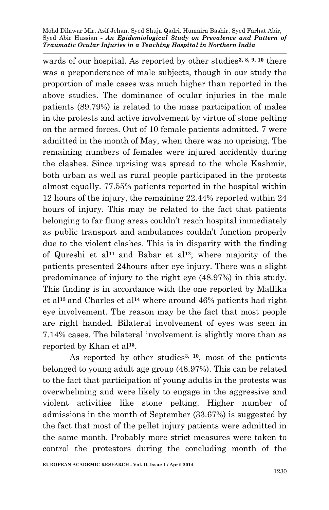wards of our hospital. As reported by other studies**3, 8, 9, 10** there was a preponderance of male subjects, though in our study the proportion of male cases was much higher than reported in the above studies. The dominance of ocular injuries in the male patients (89.79%) is related to the mass participation of males in the protests and active involvement by virtue of stone pelting on the armed forces. Out of 10 female patients admitted, 7 were admitted in the month of May, when there was no uprising. The remaining numbers of females were injured accidently during the clashes. Since uprising was spread to the whole Kashmir, both urban as well as rural people participated in the protests almost equally. 77.55% patients reported in the hospital within 12 hours of the injury, the remaining 22.44% reported within 24 hours of injury. This may be related to the fact that patients belonging to far flung areas couldn't reach hospital immediately as public transport and ambulances couldn't function properly due to the violent clashes. This is in disparity with the finding of Qureshi et al**<sup>11</sup>** and Babar et al**12**; where majority of the patients presented 24hours after eye injury. There was a slight predominance of injury to the right eye (48.97%) in this study. This finding is in accordance with the one reported by Mallika et al**<sup>13</sup>** and Charles et al**<sup>14</sup>** where around 46% patients had right eye involvement. The reason may be the fact that most people are right handed. Bilateral involvement of eyes was seen in 7.14% cases. The bilateral involvement is slightly more than as reported by Khan et al**<sup>15</sup>** .

As reported by other studies**3, 10**, most of the patients belonged to young adult age group (48.97%). This can be related to the fact that participation of young adults in the protests was overwhelming and were likely to engage in the aggressive and violent activities like stone pelting. Higher number of admissions in the month of September (33.67%) is suggested by the fact that most of the pellet injury patients were admitted in the same month. Probably more strict measures were taken to control the protestors during the concluding month of the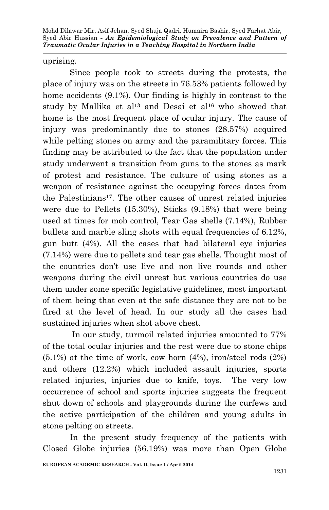uprising.

Since people took to streets during the protests, the place of injury was on the streets in 76.53% patients followed by home accidents (9.1%). Our finding is highly in contrast to the study by Mallika et al**<sup>13</sup>** and Desai et al**<sup>16</sup>** who showed that home is the most frequent place of ocular injury. The cause of injury was predominantly due to stones (28.57%) acquired while pelting stones on army and the paramilitary forces. This finding may be attributed to the fact that the population under study underwent a transition from guns to the stones as mark of protest and resistance. The culture of using stones as a weapon of resistance against the occupying forces dates from the Palestinians**17**. The other causes of unrest related injuries were due to Pellets (15.30%), Sticks (9.18%) that were being used at times for mob control, Tear Gas shells (7.14%), Rubber bullets and marble sling shots with equal frequencies of 6.12%, gun butt (4%). All the cases that had bilateral eye injuries (7.14%) were due to pellets and tear gas shells. Thought most of the countries don't use live and non live rounds and other weapons during the civil unrest but various countries do use them under some specific legislative guidelines, most important of them being that even at the safe distance they are not to be fired at the level of head. In our study all the cases had sustained injuries when shot above chest.

In our study, turmoil related injuries amounted to 77% of the total ocular injuries and the rest were due to stone chips  $(5.1\%)$  at the time of work, cow horn  $(4\%)$ , iron/steel rods  $(2\%)$ and others (12.2%) which included assault injuries, sports related injuries, injuries due to knife, toys. The very low occurrence of school and sports injuries suggests the frequent shut down of schools and playgrounds during the curfews and the active participation of the children and young adults in stone pelting on streets.

In the present study frequency of the patients with Closed Globe injuries (56.19%) was more than Open Globe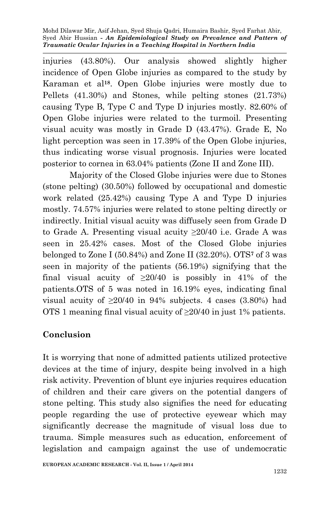injuries (43.80%). Our analysis showed slightly higher incidence of Open Globe injuries as compared to the study by Karaman et al**18**. Open Globe injuries were mostly due to Pellets (41.30%) and Stones, while pelting stones (21.73%) causing Type B, Type C and Type D injuries mostly. 82.60% of Open Globe injuries were related to the turmoil. Presenting visual acuity was mostly in Grade D (43.47%). Grade E, No light perception was seen in 17.39% of the Open Globe injuries, thus indicating worse visual prognosis. Injuries were located posterior to cornea in 63.04% patients (Zone II and Zone III).

Majority of the Closed Globe injuries were due to Stones (stone pelting) (30.50%) followed by occupational and domestic work related (25.42%) causing Type A and Type D injuries mostly. 74.57% injuries were related to stone pelting directly or indirectly. Initial visual acuity was diffusely seen from Grade D to Grade A. Presenting visual acuity ≥20/40 i.e. Grade A was seen in 25.42% cases. Most of the Closed Globe injuries belonged to Zone I (50.84%) and Zone II (32.20%). OTS**<sup>7</sup>** of 3 was seen in majority of the patients (56.19%) signifying that the final visual acuity of  $\geq 20/40$  is possibly in 41% of the patients.OTS of 5 was noted in 16.19% eyes, indicating final visual acuity of  $\geq 20/40$  in 94% subjects. 4 cases (3.80%) had OTS 1 meaning final visual acuity of  $\geq$ 20/40 in just 1% patients.

## **Conclusion**

It is worrying that none of admitted patients utilized protective devices at the time of injury, despite being involved in a high risk activity. Prevention of blunt eye injuries requires education of children and their care givers on the potential dangers of stone pelting. This study also signifies the need for educating people regarding the use of protective eyewear which may significantly decrease the magnitude of visual loss due to trauma. Simple measures such as education, enforcement of legislation and campaign against the use of undemocratic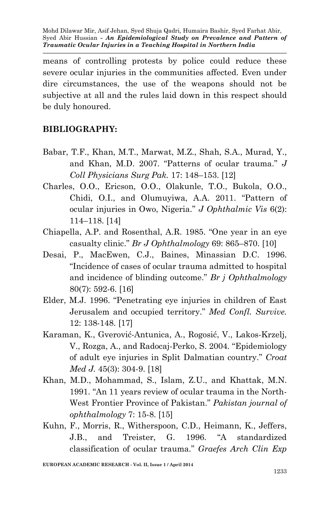means of controlling protests by police could reduce these severe ocular injuries in the communities affected. Even under dire circumstances, the use of the weapons should not be subjective at all and the rules laid down in this respect should be duly honoured.

# **BIBLIOGRAPHY:**

- Babar, T.F., Khan, M.T., Marwat, M.Z., Shah, S.A., Murad, Y., and Khan, M.D. 2007. "Patterns of ocular trauma." *J Coll Physicians Surg Pak.* 17: 148–153. [12]
- Charles, O.O., Ericson, O.O., Olakunle, T.O., Bukola, O.O., Chidi, O.I., and Olumuyiwa, A.A. 2011. "Pattern of ocular injuries in Owo, Nigeria." *J Ophthalmic Vis* 6(2): 114–118. [14]
- Chiapella, A.P. and Rosenthal, A.R. 1985. "One year in an eye casualty clinic." *Br J Ophthalmology* 69: 865–870. [10]
- Desai, P., MacEwen, C.J., Baines, Minassian D.C. 1996. "Incidence of cases of ocular trauma admitted to hospital and incidence of blinding outcome." *Br j Ophthalmology* 80(7): 592-6. [16]
- Elder, M.J. 1996. "Penetrating eye injuries in children of East Jerusalem and occupied territory." *Med Confl. Survive.* 12: 138-148. [17]
- Karaman, K., Gverović-Antunica, A., Rogosić, V., Lakos-Krzelj, V., Rozga, A., and Radocaj-Perko, S. 2004. "Epidemiology of adult eye injuries in Split Dalmatian country." *Croat Med J.* 45(3): 304-9. [18]
- Khan, M.D., Mohammad, S., Islam, Z.U., and Khattak, M.N. 1991. "An 11 years review of ocular trauma in the North-West Frontier Province of Pakistan." *Pakistan journal of ophthalmology* 7: 15-8. [15]
- Kuhn, F., Morris, R., Witherspoon, C.D., Heimann, K., Jeffers, J.B., and Treister, G. 1996. "A standardized classification of ocular trauma." *Graefes Arch Clin Exp*